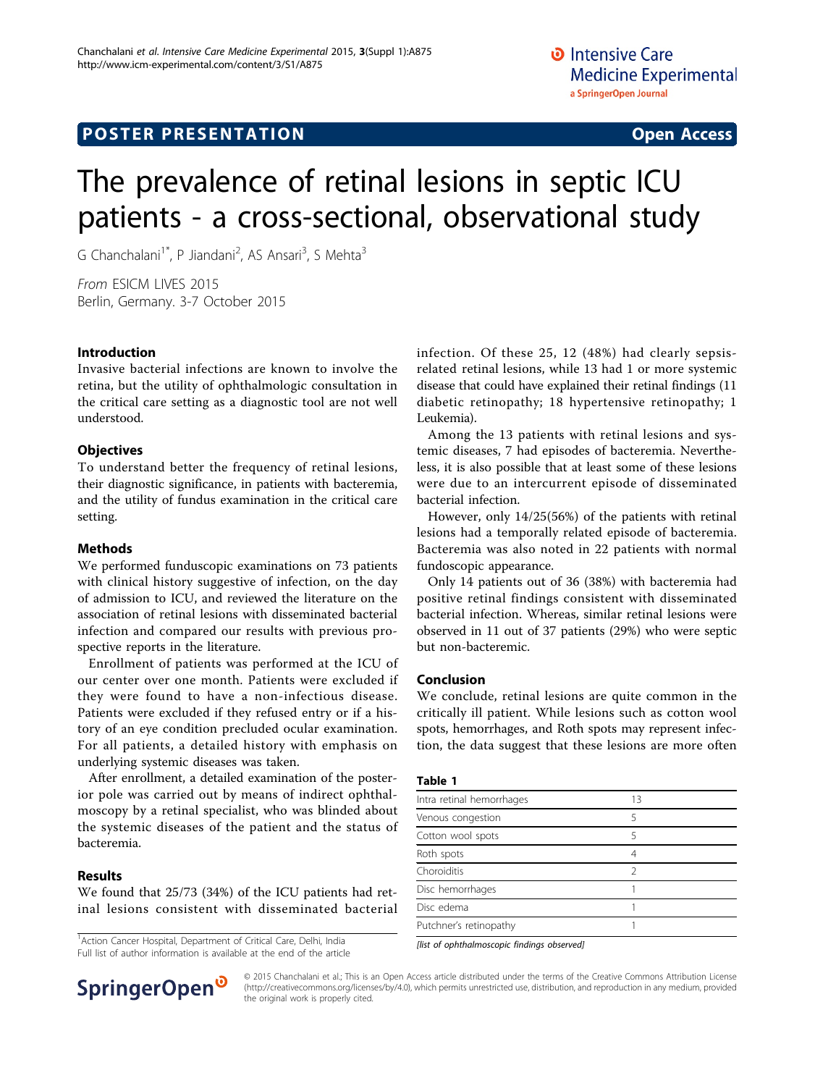# **POSTER PRESENTATION CONSUMING ACCESS**

# The prevalence of retinal lesions in septic ICU patients - a cross-sectional, observational study

G Chanchalani<sup>1\*</sup>, P Jiandani<sup>2</sup>, AS Ansari<sup>3</sup>, S Mehta<sup>3</sup>

From ESICM LIVES 2015 Berlin, Germany. 3-7 October 2015

# Introduction

Invasive bacterial infections are known to involve the retina, but the utility of ophthalmologic consultation in the critical care setting as a diagnostic tool are not well understood.

# **Objectives**

To understand better the frequency of retinal lesions, their diagnostic significance, in patients with bacteremia, and the utility of fundus examination in the critical care setting.

### Methods

We performed funduscopic examinations on 73 patients with clinical history suggestive of infection, on the day of admission to ICU, and reviewed the literature on the association of retinal lesions with disseminated bacterial infection and compared our results with previous prospective reports in the literature.

Enrollment of patients was performed at the ICU of our center over one month. Patients were excluded if they were found to have a non-infectious disease. Patients were excluded if they refused entry or if a history of an eye condition precluded ocular examination. For all patients, a detailed history with emphasis on underlying systemic diseases was taken.

After enrollment, a detailed examination of the posterior pole was carried out by means of indirect ophthalmoscopy by a retinal specialist, who was blinded about the systemic diseases of the patient and the status of bacteremia.

### Results

We found that 25/73 (34%) of the ICU patients had retinal lesions consistent with disseminated bacterial

<sup>1</sup> Action Cancer Hospital, Department of Critical Care, Delhi, India Full list of author information is available at the end of the article



Among the 13 patients with retinal lesions and systemic diseases, 7 had episodes of bacteremia. Nevertheless, it is also possible that at least some of these lesions were due to an intercurrent episode of disseminated bacterial infection.

However, only 14/25(56%) of the patients with retinal lesions had a temporally related episode of bacteremia. Bacteremia was also noted in 22 patients with normal fundoscopic appearance.

Only 14 patients out of 36 (38%) with bacteremia had positive retinal findings consistent with disseminated bacterial infection. Whereas, similar retinal lesions were observed in 11 out of 37 patients (29%) who were septic but non-bacteremic.

### Conclusion

We conclude, retinal lesions are quite common in the critically ill patient. While lesions such as cotton wool spots, hemorrhages, and Roth spots may represent infection, the data suggest that these lesions are more often

| . .<br>$\sim$<br>w<br>. . |
|---------------------------|
|---------------------------|

| Intra retinal hemorrhages | 13 |  |
|---------------------------|----|--|
| Venous congestion         | 5  |  |
| Cotton wool spots         | 5  |  |
| Roth spots                | 4  |  |
| Choroiditis               | 2  |  |
| Disc hemorrhages          |    |  |
| Disc edema                |    |  |
| Putchner's retinopathy    |    |  |
|                           |    |  |

[list of ophthalmoscopic findings observed]



© 2015 Chanchalani et al.; This is an Open Access article distributed under the terms of the Creative Commons Attribution License [\(http://creativecommons.org/licenses/by/4.0](http://creativecommons.org/licenses/by/4.0)), which permits unrestricted use, distribution, and reproduction in any medium, provided the original work is properly cited.